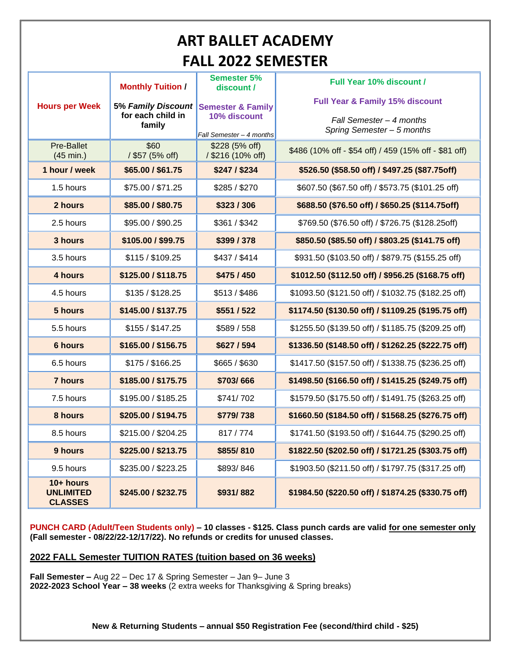## **ART BALLET ACADEMY FALL 2022 SEMESTER**

|                                                   | <b>Monthly Tuition /</b>                          | <b>Semester 5%</b><br>discount /                                         | <b>Full Year 10% discount /</b><br><b>Full Year &amp; Family 15% discount</b> |
|---------------------------------------------------|---------------------------------------------------|--------------------------------------------------------------------------|-------------------------------------------------------------------------------|
| <b>Hours per Week</b>                             | 5% Family Discount<br>for each child in<br>family | <b>Semester &amp; Family</b><br>10% discount<br>Fall Semester - 4 months | Fall Semester - 4 months<br>Spring Semester - 5 months                        |
| <b>Pre-Ballet</b><br>$(45$ min.)                  | \$60<br>/ \$57 (5% off)                           | \$228 (5% off)<br>/ \$216 (10% off)                                      | \$486 (10% off - \$54 off) / 459 (15% off - \$81 off)                         |
| 1 hour / week                                     | \$65.00 / \$61.75                                 | \$247/\$234                                                              | \$526.50 (\$58.50 off) / \$497.25 (\$87.75off)                                |
| 1.5 hours                                         | \$75.00 / \$71.25                                 | \$285 / \$270                                                            | \$607.50 (\$67.50 off) / \$573.75 (\$101.25 off)                              |
| 2 hours                                           | \$85,00 / \$80,75                                 | \$323/306                                                                | \$688.50 (\$76.50 off) / \$650.25 (\$114.75off)                               |
| 2.5 hours                                         | \$95.00 / \$90.25                                 | \$361 / \$342                                                            | \$769.50 (\$76.50 off) / \$726.75 (\$128.25off)                               |
| 3 hours                                           | \$105.00 / \$99.75                                | \$399 / 378                                                              | \$850.50 (\$85.50 off) / \$803.25 (\$141.75 off)                              |
| 3.5 hours                                         | \$115 / \$109.25                                  | \$437 / \$414                                                            | \$931.50 (\$103.50 off) / \$879.75 (\$155.25 off)                             |
| 4 hours                                           | \$125.00 / \$118.75                               | \$475 / 450                                                              | \$1012.50 (\$112.50 off) / \$956.25 (\$168.75 off)                            |
| 4.5 hours                                         | \$135 / \$128.25                                  | \$513/\$486                                                              | \$1093.50 (\$121.50 off) / \$1032.75 (\$182.25 off)                           |
| 5 hours                                           | \$145.00 / \$137.75                               | \$551/522                                                                | \$1174.50 (\$130.50 off) / \$1109.25 (\$195.75 off)                           |
| 5.5 hours                                         | \$155 / \$147.25                                  | \$589 / 558                                                              | \$1255.50 (\$139.50 off) / \$1185.75 (\$209.25 off)                           |
| 6 hours                                           | \$165.00 / \$156.75                               | \$627 / 594                                                              | \$1336.50 (\$148.50 off) / \$1262.25 (\$222.75 off)                           |
| 6.5 hours                                         | \$175 / \$166.25                                  | \$665 / \$630                                                            | \$1417.50 (\$157.50 off) / \$1338.75 (\$236.25 off)                           |
| <b>7 hours</b>                                    | \$185.00 / \$175.75                               | \$703/666                                                                | \$1498.50 (\$166.50 off) / \$1415.25 (\$249.75 off)                           |
| 7.5 hours                                         | \$195.00 / \$185.25                               | \$741/702                                                                | \$1579.50 (\$175.50 off) / \$1491.75 (\$263.25 off)                           |
| 8 hours                                           | \$205.00 / \$194.75                               | \$779/738                                                                | \$1660.50 (\$184.50 off) / \$1568.25 (\$276.75 off)                           |
| 8.5 hours                                         | \$215.00 / \$204.25                               | 817/774                                                                  | \$1741.50 (\$193.50 off) / \$1644.75 (\$290.25 off)                           |
| 9 hours                                           | \$225.00 / \$213.75                               | \$855/810                                                                | \$1822.50 (\$202.50 off) / \$1721.25 (\$303.75 off)                           |
| 9.5 hours                                         | \$235.00 / \$223.25                               | \$893/846                                                                | \$1903.50 (\$211.50 off) / \$1797.75 (\$317.25 off)                           |
| $10+$ hours<br><b>UNLIMITED</b><br><b>CLASSES</b> | \$245.00 / \$232.75                               | \$931/882                                                                | \$1984.50 (\$220.50 off) / \$1874.25 (\$330.75 off)                           |

**PUNCH CARD (Adult/Teen Students only) – 10 classes - \$125. Class punch cards are valid for one semester only (Fall semester - 08/22/22-12/17/22). No refunds or credits for unused classes.**

## **2022 FALL Semester TUITION RATES (tuition based on 36 weeks)**

**Fall Semester –** Aug 22 – Dec 17 & Spring Semester – Jan 9– June 3 **2022-2023 School Year – 38 weeks** (2 extra weeks for Thanksgiving & Spring breaks)